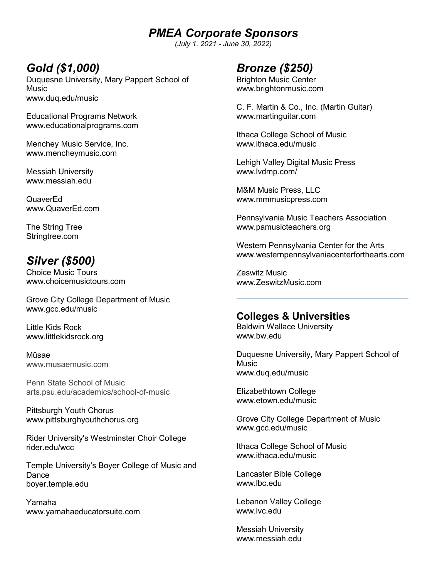*PMEA Corporate Sponsors*

*(July 1, 2021 - June 30, 2022)* 

# *Gold (\$1,000)*

Duquesne University, Mary Pappert School of Music www.duq.edu/music

Educational Programs Network www.educationalprograms.com

Menchey Music Service, Inc. www.mencheymusic.com

Messiah University www.messiah.edu

QuaverEd www.QuaverEd.com

The String Tree Stringtree.com

# *Silver (\$500)*

Choice Music Tours www.choicemusictours.com

Grove City College Department of Music www.gcc.edu/music

Little Kids Rock www.littlekidsrock.org

Mūsae www.musaemusic.com

Penn State School of Music arts.psu.edu/academics/school-of-music

Pittsburgh Youth Chorus www.pittsburghyouthchorus.org

Rider University's Westminster Choir College rider.edu/wcc

Temple University's Boyer College of Music and **Dance** boyer.temple.edu

Yamaha www.yamahaeducatorsuite.com

## *Bronze (\$250)*

Brighton Music Center www.brightonmusic.com

C. F. Martin & Co., Inc. (Martin Guitar) www.martinguitar.com

Ithaca College School of Music www.ithaca.edu/music

Lehigh Valley Digital Music Press www.lvdmp.com/

M&M Music Press, LLC www.mmmusicpress.com

Pennsylvania Music Teachers Association www.pamusicteachers.org

Western Pennsylvania Center for the Arts www.westernpennsylvaniacenterforthearts.com

Zeswitz Music www.ZeswitzMusic.com

## **Colleges & Universities**

Baldwin Wallace University www.bw.edu

Duquesne University, Mary Pappert School of Music www.duq.edu/music

Elizabethtown College www.etown.edu/music

Grove City College Department of Music www.gcc.edu/music

Ithaca College School of Music www.ithaca.edu/music

Lancaster Bible College www.lbc.edu

Lebanon Valley College www.lvc.edu

Messiah University www.messiah.edu